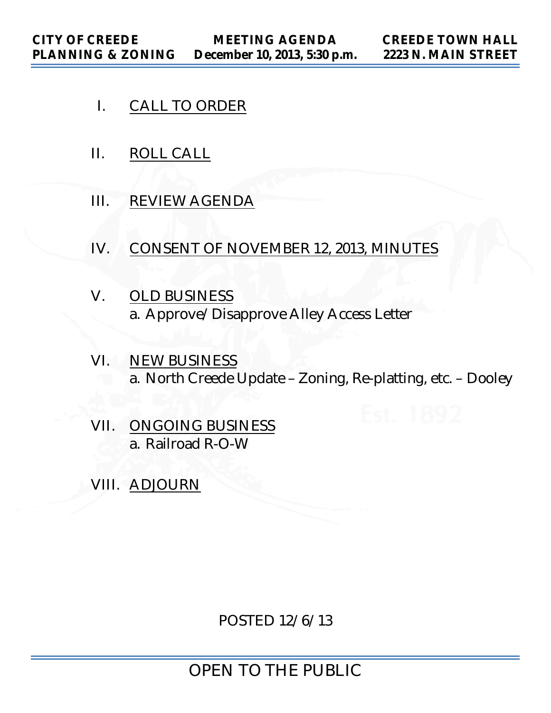- I. CALL TO ORDER
- II. ROLL CALL
- III. REVIEW AGENDA
- IV. CONSENT OF NOVEMBER 12, 2013, MINUTES
- V. OLD BUSINESS a. Approve/Disapprove Alley Access Letter
- VI. NEW BUSINESS a. North Creede Update – Zoning, Re-platting, etc. – Dooley
- VII. ONGOING BUSINESS a. Railroad R-O-W
- VIII. ADJOURN

POSTED 12/6/13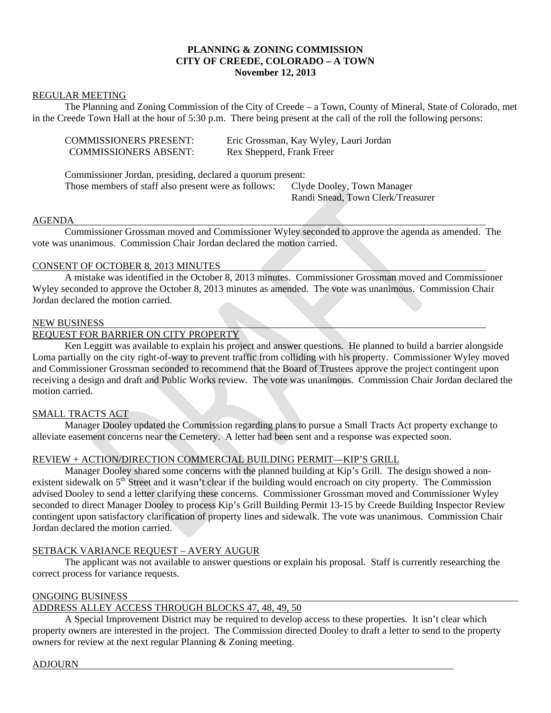## **PLANNING & ZONING COMMISSION CITY OF CREEDE, COLORADO – A TOWN November 12, 2013**

#### REGULAR MEETING

 The Planning and Zoning Commission of the City of Creede – a Town, County of Mineral, State of Colorado, met in the Creede Town Hall at the hour of 5:30 p.m. There being present at the call of the roll the following persons:

| <b>COMMISSIONERS PRESENT:</b> | Eric Grossman, Kay Wyley, Lauri Jordan |
|-------------------------------|----------------------------------------|
| <b>COMMISSIONERS ABSENT:</b>  | Rex Shepperd, Frank Freer              |

 Commissioner Jordan, presiding, declared a quorum present: Those members of staff also present were as follows: Clyde Dooley, Town Manager

Randi Snead, Town Clerk/Treasurer

#### AGENDA

 Commissioner Grossman moved and Commissioner Wyley seconded to approve the agenda as amended. The vote was unanimous. Commission Chair Jordan declared the motion carried.

#### CONSENT OF OCTOBER 8, 2013 MINUTES

 A mistake was identified in the October 8, 2013 minutes. Commissioner Grossman moved and Commissioner Wyley seconded to approve the October 8, 2013 minutes as amended. The vote was unanimous. Commission Chair Jordan declared the motion carried.

#### NEW BUSINESS

## REQUEST FOR BARRIER ON CITY PROPERTY

 Ken Leggitt was available to explain his project and answer questions. He planned to build a barrier alongside Loma partially on the city right-of-way to prevent traffic from colliding with his property. Commissioner Wyley moved and Commissioner Grossman seconded to recommend that the Board of Trustees approve the project contingent upon receiving a design and draft and Public Works review. The vote was unanimous. Commission Chair Jordan declared the motion carried.

#### SMALL TRACTS ACT

 Manager Dooley updated the Commission regarding plans to pursue a Small Tracts Act property exchange to alleviate easement concerns near the Cemetery. A letter had been sent and a response was expected soon.

#### REVIEW + ACTION/DIRECTION COMMERCIAL BUILDING PERMIT—KIP'S GRILL

 Manager Dooley shared some concerns with the planned building at Kip's Grill. The design showed a nonexistent sidewalk on 5<sup>th</sup> Street and it wasn't clear if the building would encroach on city property. The Commission advised Dooley to send a letter clarifying these concerns. Commissioner Grossman moved and Commissioner Wyley seconded to direct Manager Dooley to process Kip's Grill Building Permit 13-15 by Creede Building Inspector Review contingent upon satisfactory clarification of property lines and sidewalk. The vote was unanimous. Commission Chair Jordan declared the motion carried.

#### SETBACK VARIANCE REQUEST – AVERY AUGUR

 The applicant was not available to answer questions or explain his proposal. Staff is currently researching the correct process for variance requests.

#### ONGOING BUSINESS

# ADDRESS ALLEY ACCESS THROUGH BLOCKS 47, 48, 49, 50

 A Special Improvement District may be required to develop access to these properties. It isn't clear which property owners are interested in the project. The Commission directed Dooley to draft a letter to send to the property owners for review at the next regular Planning & Zoning meeting.

# ADJOURN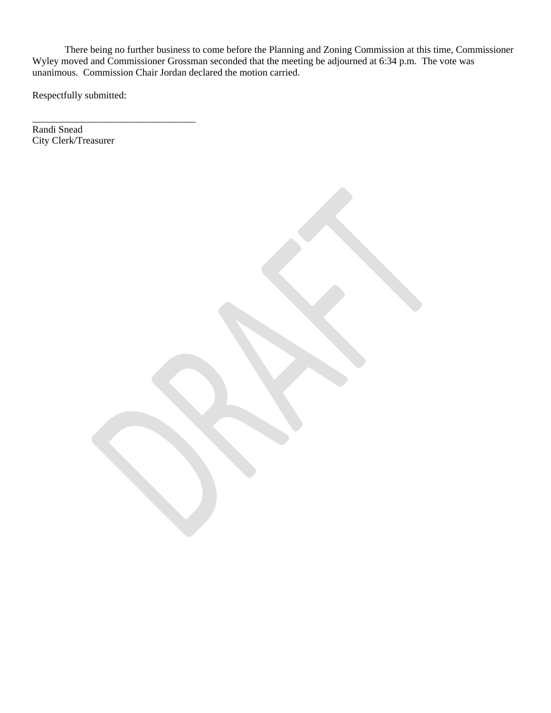There being no further business to come before the Planning and Zoning Commission at this time, Commissioner Wyley moved and Commissioner Grossman seconded that the meeting be adjourned at 6:34 p.m. The vote was unanimous. Commission Chair Jordan declared the motion carried.

Respectfully submitted:

\_\_\_\_\_\_\_\_\_\_\_\_\_\_\_\_\_\_\_\_\_\_\_\_\_\_\_\_\_\_\_\_\_

Randi Snead City Clerk/Treasurer